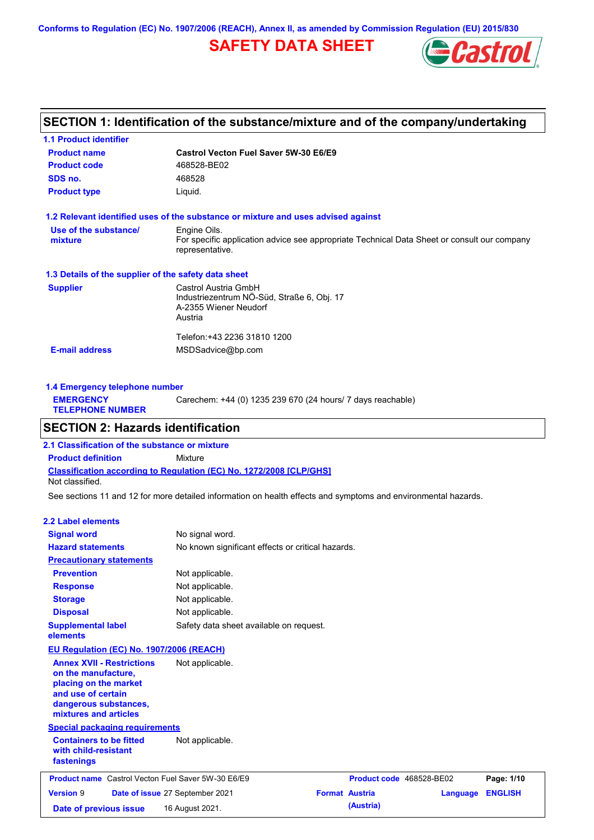**Conforms to Regulation (EC) No. 1907/2006 (REACH), Annex II, as amended by Commission Regulation (EU) 2015/830**

# **SAFETY DATA SHEET**



# **SECTION 1: Identification of the substance/mixture and of the company/undertaking**

| <b>1.1 Product identifier</b>                        |                                                                                                                |
|------------------------------------------------------|----------------------------------------------------------------------------------------------------------------|
| <b>Product name</b>                                  | Castrol Vecton Fuel Saver 5W-30 E6/E9                                                                          |
| <b>Product code</b>                                  | 468528-BE02                                                                                                    |
| SDS no.                                              | 468528                                                                                                         |
| <b>Product type</b>                                  | Liquid.                                                                                                        |
|                                                      | 1.2 Relevant identified uses of the substance or mixture and uses advised against                              |
| Use of the substance/                                | Engine Oils.                                                                                                   |
| mixture                                              | For specific application advice see appropriate Technical Data Sheet or consult our company<br>representative. |
| 1.3 Details of the supplier of the safety data sheet |                                                                                                                |
| <b>Supplier</b>                                      | Castrol Austria GmbH                                                                                           |
|                                                      | Industriezentrum NÖ-Süd, Straße 6, Obj. 17                                                                     |
|                                                      | A-2355 Wiener Neudorf                                                                                          |
|                                                      | Austria                                                                                                        |
|                                                      | Telefon: +43 2236 31810 1200                                                                                   |
| <b>E-mail address</b>                                | MSDSadvice@bp.com                                                                                              |
|                                                      |                                                                                                                |
|                                                      |                                                                                                                |

| 1.4 Emergency telephone number              |                                                             |  |  |  |  |
|---------------------------------------------|-------------------------------------------------------------|--|--|--|--|
| <b>EMERGENCY</b><br><b>TELEPHONE NUMBER</b> | Carechem: +44 (0) 1235 239 670 (24 hours/ 7 days reachable) |  |  |  |  |

# **SECTION 2: Hazards identification**

**Classification according to Regulation (EC) No. 1272/2008 [CLP/GHS] 2.1 Classification of the substance or mixture Product definition** Mixture Not classified.

See sections 11 and 12 for more detailed information on health effects and symptoms and environmental hazards.

#### **2.2 Label elements**

| <b>Signal word</b>                                                                                                                                       | No signal word.                                   |                          |          |                |
|----------------------------------------------------------------------------------------------------------------------------------------------------------|---------------------------------------------------|--------------------------|----------|----------------|
| <b>Hazard statements</b>                                                                                                                                 | No known significant effects or critical hazards. |                          |          |                |
| <b>Precautionary statements</b>                                                                                                                          |                                                   |                          |          |                |
| <b>Prevention</b>                                                                                                                                        | Not applicable.                                   |                          |          |                |
| <b>Response</b>                                                                                                                                          | Not applicable.                                   |                          |          |                |
| <b>Storage</b>                                                                                                                                           | Not applicable.                                   |                          |          |                |
| <b>Disposal</b>                                                                                                                                          | Not applicable.                                   |                          |          |                |
| <b>Supplemental label</b><br>elements                                                                                                                    | Safety data sheet available on request.           |                          |          |                |
| <b>EU Regulation (EC) No. 1907/2006 (REACH)</b>                                                                                                          |                                                   |                          |          |                |
| <b>Annex XVII - Restrictions</b><br>on the manufacture.<br>placing on the market<br>and use of certain<br>dangerous substances,<br>mixtures and articles | Not applicable.                                   |                          |          |                |
| <b>Special packaging requirements</b>                                                                                                                    |                                                   |                          |          |                |
| <b>Containers to be fitted</b><br>with child-resistant<br>fastenings                                                                                     | Not applicable.                                   |                          |          |                |
| <b>Product name</b> Castrol Vecton Fuel Saver 5W-30 E6/E9                                                                                                |                                                   | Product code 468528-BE02 |          | Page: 1/10     |
| <b>Version 9</b>                                                                                                                                         | Date of issue 27 September 2021                   | <b>Format Austria</b>    | Language | <b>ENGLISH</b> |
| Date of previous issue                                                                                                                                   | 16 August 2021.                                   | (Austria)                |          |                |
|                                                                                                                                                          |                                                   |                          |          |                |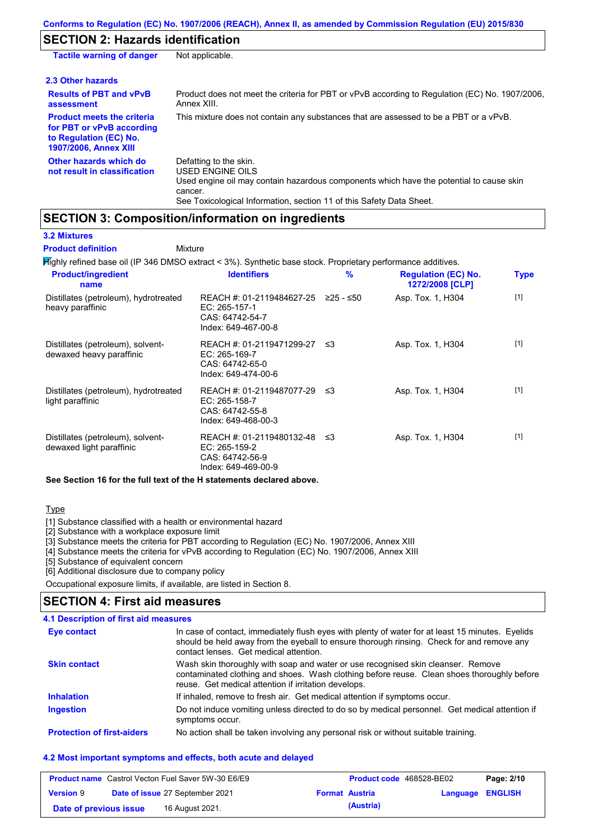# **SECTION 2: Hazards identification**

| <b>Tactile warning of danger</b>                                                                                         | Not applicable.                                                                                                                                                                                                          |
|--------------------------------------------------------------------------------------------------------------------------|--------------------------------------------------------------------------------------------------------------------------------------------------------------------------------------------------------------------------|
| 2.3 Other hazards                                                                                                        |                                                                                                                                                                                                                          |
| <b>Results of PBT and vPvB</b><br>assessment                                                                             | Product does not meet the criteria for PBT or vPvB according to Regulation (EC) No. 1907/2006,<br>Annex XIII.                                                                                                            |
| <b>Product meets the criteria</b><br>for PBT or vPvB according<br>to Regulation (EC) No.<br><b>1907/2006, Annex XIII</b> | This mixture does not contain any substances that are assessed to be a PBT or a vPvB.                                                                                                                                    |
| Other hazards which do<br>not result in classification                                                                   | Defatting to the skin.<br>USED ENGINE OILS<br>Used engine oil may contain hazardous components which have the potential to cause skin<br>cancer.<br>See Toxicological Information, section 11 of this Safety Data Sheet. |

# **SECTION 3: Composition/information on ingredients**

**3.2 Mixtures**

**Mixture Product definition**

Highly refined base oil (IP 346 DMSO extract < 3%). Synthetic base stock. Proprietary performance additives.

| <b>Product/ingredient</b><br>name                             | <b>Identifiers</b>                                                                      | $\%$        | <b>Regulation (EC) No.</b><br>1272/2008 [CLP] | <b>Type</b> |
|---------------------------------------------------------------|-----------------------------------------------------------------------------------------|-------------|-----------------------------------------------|-------------|
| Distillates (petroleum), hydrotreated<br>heavy paraffinic     | REACH #: 01-2119484627-25<br>EC: 265-157-1<br>CAS: 64742-54-7<br>Index: 649-467-00-8    | $≥25 - ≤50$ | Asp. Tox. 1, H304                             | $[1]$       |
| Distillates (petroleum), solvent-<br>dewaxed heavy paraffinic | REACH #: 01-2119471299-27<br>EC: 265-169-7<br>CAS: 64742-65-0<br>Index: 649-474-00-6    | -≤3         | Asp. Tox. 1, H304                             | $[1]$       |
| Distillates (petroleum), hydrotreated<br>light paraffinic     | REACH #: 01-2119487077-29<br>EC: 265-158-7<br>CAS: 64742-55-8<br>Index: 649-468-00-3    | -≤3         | Asp. Tox. 1, H304                             | $[1]$       |
| Distillates (petroleum), solvent-<br>dewaxed light paraffinic | REACH #: 01-2119480132-48 ≤3<br>EC: 265-159-2<br>CAS: 64742-56-9<br>Index: 649-469-00-9 |             | Asp. Tox. 1, H304                             | $[1]$       |

**See Section 16 for the full text of the H statements declared above.**

#### Type

[1] Substance classified with a health or environmental hazard

[2] Substance with a workplace exposure limit

[3] Substance meets the criteria for PBT according to Regulation (EC) No. 1907/2006, Annex XIII

[4] Substance meets the criteria for vPvB according to Regulation (EC) No. 1907/2006, Annex XIII

[5] Substance of equivalent concern

[6] Additional disclosure due to company policy

Occupational exposure limits, if available, are listed in Section 8.

### **SECTION 4: First aid measures**

#### **4.1 Description of first aid measures**

| Eye contact                       | In case of contact, immediately flush eyes with plenty of water for at least 15 minutes. Eyelids<br>should be held away from the eyeball to ensure thorough rinsing. Check for and remove any<br>contact lenses. Get medical attention. |
|-----------------------------------|-----------------------------------------------------------------------------------------------------------------------------------------------------------------------------------------------------------------------------------------|
| <b>Skin contact</b>               | Wash skin thoroughly with soap and water or use recognised skin cleanser. Remove<br>contaminated clothing and shoes. Wash clothing before reuse. Clean shoes thoroughly before<br>reuse. Get medical attention if irritation develops.  |
| <b>Inhalation</b>                 | If inhaled, remove to fresh air. Get medical attention if symptoms occur.                                                                                                                                                               |
| <b>Ingestion</b>                  | Do not induce vomiting unless directed to do so by medical personnel. Get medical attention if<br>symptoms occur.                                                                                                                       |
| <b>Protection of first-aiders</b> | No action shall be taken involving any personal risk or without suitable training.                                                                                                                                                      |

#### **4.2 Most important symptoms and effects, both acute and delayed**

|                        | <b>Product name</b> Castrol Vecton Fuel Saver 5W-30 E6/E9 |                       | <b>Product code</b> 468528-BE02 |                         | Page: 2/10 |
|------------------------|-----------------------------------------------------------|-----------------------|---------------------------------|-------------------------|------------|
| <b>Version 9</b>       | <b>Date of issue 27 September 2021</b>                    | <b>Format Austria</b> |                                 | <b>Language ENGLISH</b> |            |
| Date of previous issue | 16 August 2021.                                           |                       | (Austria)                       |                         |            |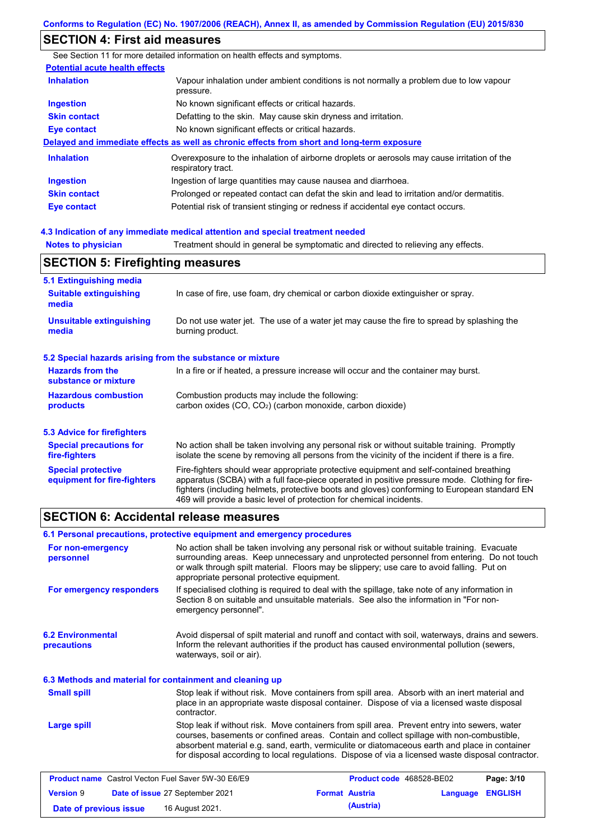# **SECTION 4: First aid measures**

Notes to physician **Treatment should in general be symptomatic and directed to relieving any effects. 4.3 Indication of any immediate medical attention and special treatment needed** See Section 11 for more detailed information on health effects and symptoms. **Potential acute health effects Inhalation** Vapour inhalation under ambient conditions is not normally a problem due to low vapour pressure. **Ingestion** No known significant effects or critical hazards. **Skin contact** Defatting to the skin. May cause skin dryness and irritation. **Eye contact** No known significant effects or critical hazards. **Delayed and immediate effects as well as chronic effects from short and long-term exposure Inhalation Ingestion Skin contact Eye contact** Overexposure to the inhalation of airborne droplets or aerosols may cause irritation of the respiratory tract. Ingestion of large quantities may cause nausea and diarrhoea. Prolonged or repeated contact can defat the skin and lead to irritation and/or dermatitis. Potential risk of transient stinging or redness if accidental eye contact occurs. **SECTION 5: Firefighting measures**

| <b>JLUTTUR J. I II GIIGHLIIG HIGASULGS</b>                |                                                                                                                                                                                                                                                                                                                                                                   |  |  |  |
|-----------------------------------------------------------|-------------------------------------------------------------------------------------------------------------------------------------------------------------------------------------------------------------------------------------------------------------------------------------------------------------------------------------------------------------------|--|--|--|
| 5.1 Extinguishing media                                   |                                                                                                                                                                                                                                                                                                                                                                   |  |  |  |
| <b>Suitable extinguishing</b><br>media                    | In case of fire, use foam, dry chemical or carbon dioxide extinguisher or spray.                                                                                                                                                                                                                                                                                  |  |  |  |
| <b>Unsuitable extinguishing</b><br>media                  | Do not use water jet. The use of a water jet may cause the fire to spread by splashing the<br>burning product.                                                                                                                                                                                                                                                    |  |  |  |
| 5.2 Special hazards arising from the substance or mixture |                                                                                                                                                                                                                                                                                                                                                                   |  |  |  |
| <b>Hazards from the</b><br>substance or mixture           | In a fire or if heated, a pressure increase will occur and the container may burst.                                                                                                                                                                                                                                                                               |  |  |  |
| <b>Hazardous combustion</b><br>products                   | Combustion products may include the following:<br>carbon oxides $(CO, CO2)$ (carbon monoxide, carbon dioxide)                                                                                                                                                                                                                                                     |  |  |  |
| 5.3 Advice for firefighters                               |                                                                                                                                                                                                                                                                                                                                                                   |  |  |  |
| <b>Special precautions for</b><br>fire-fighters           | No action shall be taken involving any personal risk or without suitable training. Promptly<br>isolate the scene by removing all persons from the vicinity of the incident if there is a fire.                                                                                                                                                                    |  |  |  |
| <b>Special protective</b><br>equipment for fire-fighters  | Fire-fighters should wear appropriate protective equipment and self-contained breathing<br>apparatus (SCBA) with a full face-piece operated in positive pressure mode. Clothing for fire-<br>fighters (including helmets, protective boots and gloves) conforming to European standard EN<br>469 will provide a basic level of protection for chemical incidents. |  |  |  |

# **SECTION 6: Accidental release measures**

| 6.1 Personal precautions, protective equipment and emergency procedures |                                                                                                                                                                                                                                                                                                                                     |                                                                                                                                                                                                                                                                                                                                                                                                |          |                |  |
|-------------------------------------------------------------------------|-------------------------------------------------------------------------------------------------------------------------------------------------------------------------------------------------------------------------------------------------------------------------------------------------------------------------------------|------------------------------------------------------------------------------------------------------------------------------------------------------------------------------------------------------------------------------------------------------------------------------------------------------------------------------------------------------------------------------------------------|----------|----------------|--|
| For non-emergency<br>personnel                                          | No action shall be taken involving any personal risk or without suitable training. Evacuate<br>surrounding areas. Keep unnecessary and unprotected personnel from entering. Do not touch<br>or walk through spilt material. Floors may be slippery; use care to avoid falling. Put on<br>appropriate personal protective equipment. |                                                                                                                                                                                                                                                                                                                                                                                                |          |                |  |
| For emergency responders                                                | emergency personnel".                                                                                                                                                                                                                                                                                                               | If specialised clothing is required to deal with the spillage, take note of any information in<br>Section 8 on suitable and unsuitable materials. See also the information in "For non-                                                                                                                                                                                                        |          |                |  |
| <b>6.2 Environmental</b><br>precautions                                 | waterways, soil or air).                                                                                                                                                                                                                                                                                                            | Avoid dispersal of spilt material and runoff and contact with soil, waterways, drains and sewers.<br>Inform the relevant authorities if the product has caused environmental pollution (sewers,                                                                                                                                                                                                |          |                |  |
| 6.3 Methods and material for containment and cleaning up                |                                                                                                                                                                                                                                                                                                                                     |                                                                                                                                                                                                                                                                                                                                                                                                |          |                |  |
| <b>Small spill</b>                                                      | contractor.                                                                                                                                                                                                                                                                                                                         | Stop leak if without risk. Move containers from spill area. Absorb with an inert material and<br>place in an appropriate waste disposal container. Dispose of via a licensed waste disposal                                                                                                                                                                                                    |          |                |  |
| Large spill                                                             |                                                                                                                                                                                                                                                                                                                                     | Stop leak if without risk. Move containers from spill area. Prevent entry into sewers, water<br>courses, basements or confined areas. Contain and collect spillage with non-combustible,<br>absorbent material e.g. sand, earth, vermiculite or diatomaceous earth and place in container<br>for disposal according to local regulations. Dispose of via a licensed waste disposal contractor. |          |                |  |
| <b>Product name</b> Castrol Vecton Fuel Saver 5W-30 E6/E9               |                                                                                                                                                                                                                                                                                                                                     | Product code 468528-BE02                                                                                                                                                                                                                                                                                                                                                                       |          | Page: 3/10     |  |
| <b>Version 9</b>                                                        | Date of issue 27 September 2021                                                                                                                                                                                                                                                                                                     | <b>Format Austria</b>                                                                                                                                                                                                                                                                                                                                                                          | Language | <b>ENGLISH</b> |  |

**Date of previous issue (Austria)** 16 August 2021.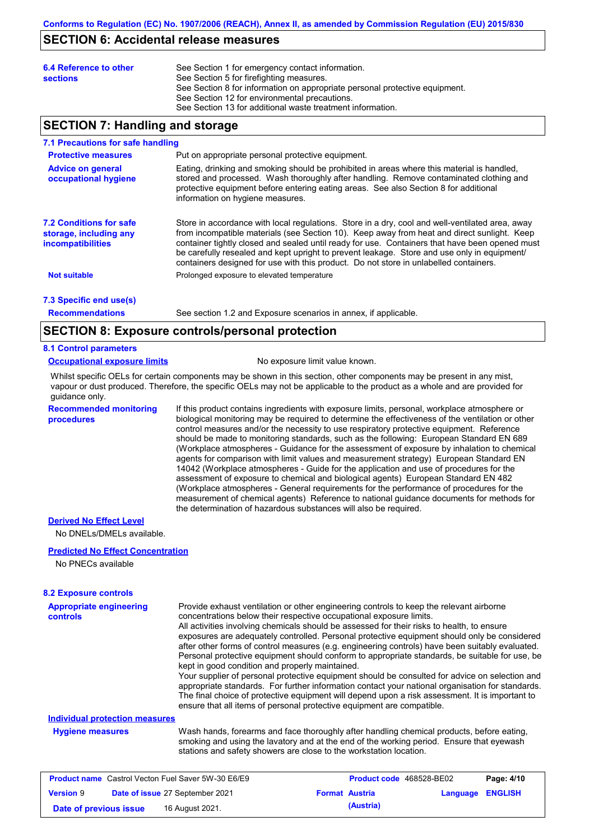## **SECTION 6: Accidental release measures**

| 6.4 Reference to other<br><b>sections</b> | See Section 1 for emergency contact information.<br>See Section 5 for firefighting measures.<br>See Section 8 for information on appropriate personal protective equipment.<br>See Section 12 for environmental precautions.<br>See Section 13 for additional waste treatment information. |
|-------------------------------------------|--------------------------------------------------------------------------------------------------------------------------------------------------------------------------------------------------------------------------------------------------------------------------------------------|
|                                           |                                                                                                                                                                                                                                                                                            |

# **SECTION 7: Handling and storage**

#### **7.1 Precautions for safe handling**

| <b>Protective measures</b>                                                                                                                                                                                                                                                                                                                                           | Put on appropriate personal protective equipment.                                                                                                                                                                                                                                                                                                                                                                                                                                       |  |  |  |
|----------------------------------------------------------------------------------------------------------------------------------------------------------------------------------------------------------------------------------------------------------------------------------------------------------------------------------------------------------------------|-----------------------------------------------------------------------------------------------------------------------------------------------------------------------------------------------------------------------------------------------------------------------------------------------------------------------------------------------------------------------------------------------------------------------------------------------------------------------------------------|--|--|--|
| Eating, drinking and smoking should be prohibited in areas where this material is handled.<br><b>Advice on general</b><br>stored and processed. Wash thoroughly after handling. Remove contaminated clothing and<br>occupational hygiene<br>protective equipment before entering eating areas. See also Section 8 for additional<br>information on hygiene measures. |                                                                                                                                                                                                                                                                                                                                                                                                                                                                                         |  |  |  |
| <b>7.2 Conditions for safe</b><br>storage, including any<br><i>incompatibilities</i>                                                                                                                                                                                                                                                                                 | Store in accordance with local requlations. Store in a dry, cool and well-ventilated area, away<br>from incompatible materials (see Section 10). Keep away from heat and direct sunlight. Keep<br>container tightly closed and sealed until ready for use. Containers that have been opened must<br>be carefully resealed and kept upright to prevent leakage. Store and use only in equipment<br>containers designed for use with this product. Do not store in unlabelled containers. |  |  |  |
| <b>Not suitable</b>                                                                                                                                                                                                                                                                                                                                                  | Prolonged exposure to elevated temperature                                                                                                                                                                                                                                                                                                                                                                                                                                              |  |  |  |
| 7.3 Specific end use(s)                                                                                                                                                                                                                                                                                                                                              |                                                                                                                                                                                                                                                                                                                                                                                                                                                                                         |  |  |  |

**Recommendations**

See section 1.2 and Exposure scenarios in annex, if applicable.

### **SECTION 8: Exposure controls/personal protection**

#### **8.1 Control parameters**

**procedures**

#### **Occupational exposure limits** No exposure limit value known.

Whilst specific OELs for certain components may be shown in this section, other components may be present in any mist, vapour or dust produced. Therefore, the specific OELs may not be applicable to the product as a whole and are provided for guidance only.

**Recommended monitoring**  If this product contains ingredients with exposure limits, personal, workplace atmosphere or biological monitoring may be required to determine the effectiveness of the ventilation or other control measures and/or the necessity to use respiratory protective equipment. Reference should be made to monitoring standards, such as the following: European Standard EN 689 (Workplace atmospheres - Guidance for the assessment of exposure by inhalation to chemical agents for comparison with limit values and measurement strategy) European Standard EN 14042 (Workplace atmospheres - Guide for the application and use of procedures for the assessment of exposure to chemical and biological agents) European Standard EN 482 (Workplace atmospheres - General requirements for the performance of procedures for the measurement of chemical agents) Reference to national guidance documents for methods for the determination of hazardous substances will also be required.

#### **Derived No Effect Level**

No DNELs/DMELs available.

#### **Predicted No Effect Concentration**

No PNECs available

#### **8.2 Exposure controls**

| <b>Appropriate engineering</b><br>controls                |                                                                                                                                                                                                                                                             | Provide exhaust ventilation or other engineering controls to keep the relevant airborne<br>concentrations below their respective occupational exposure limits.<br>All activities involving chemicals should be assessed for their risks to health, to ensure<br>exposures are adequately controlled. Personal protective equipment should only be considered<br>after other forms of control measures (e.g. engineering controls) have been suitably evaluated.<br>Personal protective equipment should conform to appropriate standards, be suitable for use, be<br>kept in good condition and properly maintained.<br>Your supplier of personal protective equipment should be consulted for advice on selection and<br>appropriate standards. For further information contact your national organisation for standards.<br>The final choice of protective equipment will depend upon a risk assessment. It is important to<br>ensure that all items of personal protective equipment are compatible. |               |
|-----------------------------------------------------------|-------------------------------------------------------------------------------------------------------------------------------------------------------------------------------------------------------------------------------------------------------------|---------------------------------------------------------------------------------------------------------------------------------------------------------------------------------------------------------------------------------------------------------------------------------------------------------------------------------------------------------------------------------------------------------------------------------------------------------------------------------------------------------------------------------------------------------------------------------------------------------------------------------------------------------------------------------------------------------------------------------------------------------------------------------------------------------------------------------------------------------------------------------------------------------------------------------------------------------------------------------------------------------|---------------|
| Individual protection measures                            |                                                                                                                                                                                                                                                             |                                                                                                                                                                                                                                                                                                                                                                                                                                                                                                                                                                                                                                                                                                                                                                                                                                                                                                                                                                                                         |               |
| <b>Hygiene measures</b>                                   | Wash hands, forearms and face thoroughly after handling chemical products, before eating,<br>smoking and using the lavatory and at the end of the working period. Ensure that eyewash<br>stations and safety showers are close to the workstation location. |                                                                                                                                                                                                                                                                                                                                                                                                                                                                                                                                                                                                                                                                                                                                                                                                                                                                                                                                                                                                         |               |
| <b>Product name</b> Castrol Vecton Fuel Saver 5W-30 F6/F9 |                                                                                                                                                                                                                                                             | <b>Product code 468528-RE02</b>                                                                                                                                                                                                                                                                                                                                                                                                                                                                                                                                                                                                                                                                                                                                                                                                                                                                                                                                                                         | $P$ ane: 4/10 |

| <b>Product name</b> Castrol Vecton Fuel Saver 5W-30 E6/E9 |  |                                 | <b>Product code</b> 468528-BE02 |                       | Page: 4/10       |  |
|-----------------------------------------------------------|--|---------------------------------|---------------------------------|-----------------------|------------------|--|
| <b>Version 9</b>                                          |  | Date of issue 27 September 2021 |                                 | <b>Format Austria</b> | Language ENGLISH |  |
| Date of previous issue                                    |  | 16 August 2021.                 |                                 | (Austria)             |                  |  |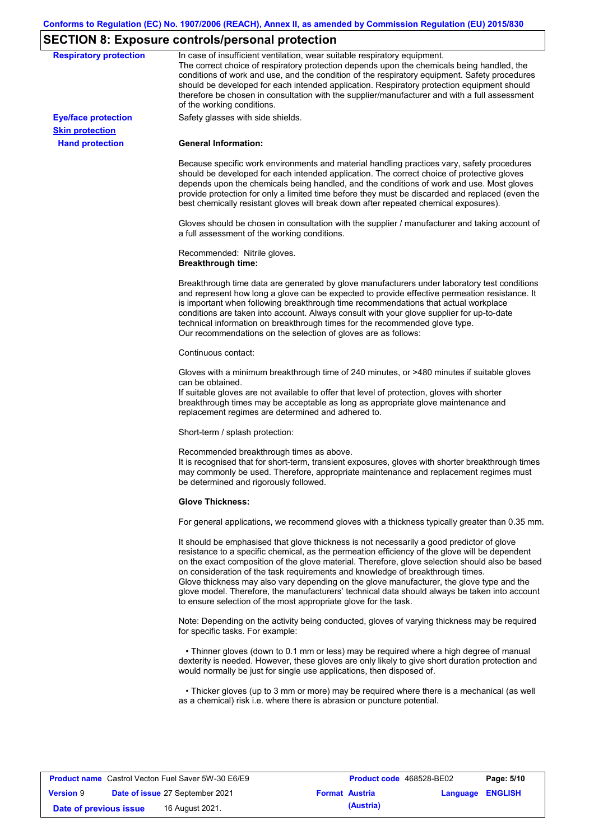# **SECTION 8: Exposure controls/personal protection**

| <b>Respiratory protection</b>                        | In case of insufficient ventilation, wear suitable respiratory equipment.<br>The correct choice of respiratory protection depends upon the chemicals being handled, the<br>conditions of work and use, and the condition of the respiratory equipment. Safety procedures<br>should be developed for each intended application. Respiratory protection equipment should<br>therefore be chosen in consultation with the supplier/manufacturer and with a full assessment<br>of the working conditions.                                                                                                                                             |
|------------------------------------------------------|---------------------------------------------------------------------------------------------------------------------------------------------------------------------------------------------------------------------------------------------------------------------------------------------------------------------------------------------------------------------------------------------------------------------------------------------------------------------------------------------------------------------------------------------------------------------------------------------------------------------------------------------------|
| <b>Eye/face protection</b><br><b>Skin protection</b> | Safety glasses with side shields.                                                                                                                                                                                                                                                                                                                                                                                                                                                                                                                                                                                                                 |
| <b>Hand protection</b>                               | <b>General Information:</b>                                                                                                                                                                                                                                                                                                                                                                                                                                                                                                                                                                                                                       |
|                                                      | Because specific work environments and material handling practices vary, safety procedures<br>should be developed for each intended application. The correct choice of protective gloves<br>depends upon the chemicals being handled, and the conditions of work and use. Most gloves<br>provide protection for only a limited time before they must be discarded and replaced (even the<br>best chemically resistant gloves will break down after repeated chemical exposures).                                                                                                                                                                  |
|                                                      | Gloves should be chosen in consultation with the supplier / manufacturer and taking account of<br>a full assessment of the working conditions.                                                                                                                                                                                                                                                                                                                                                                                                                                                                                                    |
|                                                      | Recommended: Nitrile gloves.<br><b>Breakthrough time:</b>                                                                                                                                                                                                                                                                                                                                                                                                                                                                                                                                                                                         |
|                                                      | Breakthrough time data are generated by glove manufacturers under laboratory test conditions<br>and represent how long a glove can be expected to provide effective permeation resistance. It<br>is important when following breakthrough time recommendations that actual workplace<br>conditions are taken into account. Always consult with your glove supplier for up-to-date<br>technical information on breakthrough times for the recommended glove type.<br>Our recommendations on the selection of gloves are as follows:                                                                                                                |
|                                                      | Continuous contact:                                                                                                                                                                                                                                                                                                                                                                                                                                                                                                                                                                                                                               |
|                                                      | Gloves with a minimum breakthrough time of 240 minutes, or >480 minutes if suitable gloves<br>can be obtained.<br>If suitable gloves are not available to offer that level of protection, gloves with shorter<br>breakthrough times may be acceptable as long as appropriate glove maintenance and<br>replacement regimes are determined and adhered to.                                                                                                                                                                                                                                                                                          |
|                                                      | Short-term / splash protection:                                                                                                                                                                                                                                                                                                                                                                                                                                                                                                                                                                                                                   |
|                                                      | Recommended breakthrough times as above.<br>It is recognised that for short-term, transient exposures, gloves with shorter breakthrough times<br>may commonly be used. Therefore, appropriate maintenance and replacement regimes must<br>be determined and rigorously followed.                                                                                                                                                                                                                                                                                                                                                                  |
|                                                      | <b>Glove Thickness:</b>                                                                                                                                                                                                                                                                                                                                                                                                                                                                                                                                                                                                                           |
|                                                      | For general applications, we recommend gloves with a thickness typically greater than 0.35 mm.                                                                                                                                                                                                                                                                                                                                                                                                                                                                                                                                                    |
|                                                      | It should be emphasised that glove thickness is not necessarily a good predictor of glove<br>resistance to a specific chemical, as the permeation efficiency of the glove will be dependent<br>on the exact composition of the glove material. Therefore, glove selection should also be based<br>on consideration of the task requirements and knowledge of breakthrough times.<br>Glove thickness may also vary depending on the glove manufacturer, the glove type and the<br>glove model. Therefore, the manufacturers' technical data should always be taken into account<br>to ensure selection of the most appropriate glove for the task. |
|                                                      | Note: Depending on the activity being conducted, gloves of varying thickness may be required<br>for specific tasks. For example:                                                                                                                                                                                                                                                                                                                                                                                                                                                                                                                  |
|                                                      | • Thinner gloves (down to 0.1 mm or less) may be required where a high degree of manual<br>dexterity is needed. However, these gloves are only likely to give short duration protection and<br>would normally be just for single use applications, then disposed of.                                                                                                                                                                                                                                                                                                                                                                              |
|                                                      | • Thicker gloves (up to 3 mm or more) may be required where there is a mechanical (as well<br>as a chemical) risk i.e. where there is abrasion or puncture potential.                                                                                                                                                                                                                                                                                                                                                                                                                                                                             |

| <b>Product name</b> Castrol Vecton Fuel Saver 5W-30 E6/E9 |  |                                 | Product code 468528-BE02 |           | Page: 5/10              |  |
|-----------------------------------------------------------|--|---------------------------------|--------------------------|-----------|-------------------------|--|
| <b>Version 9</b>                                          |  | Date of issue 27 September 2021 | <b>Format Austria</b>    |           | <b>Language ENGLISH</b> |  |
| Date of previous issue                                    |  | 16 August 2021.                 |                          | (Austria) |                         |  |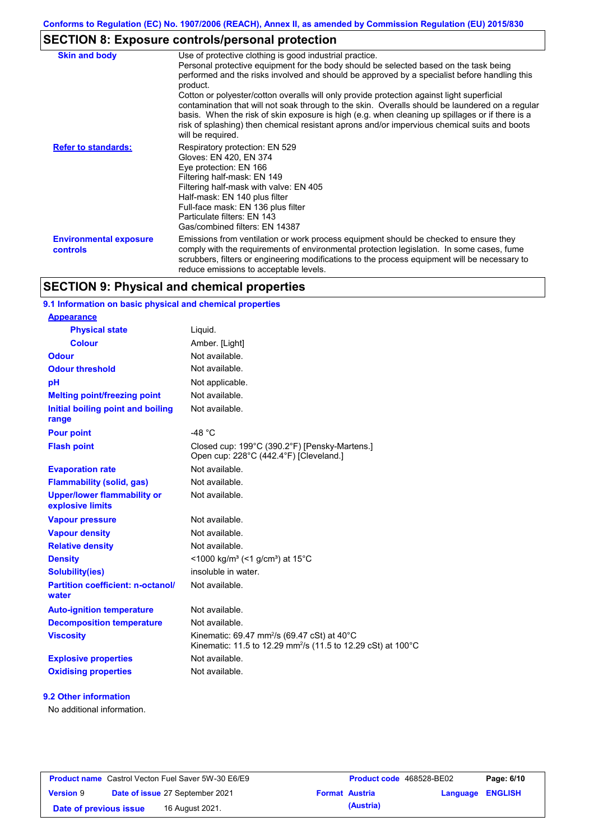# **SECTION 8: Exposure controls/personal protection**

| <b>Skin and body</b>                      | Use of protective clothing is good industrial practice.<br>Personal protective equipment for the body should be selected based on the task being<br>performed and the risks involved and should be approved by a specialist before handling this<br>product.<br>Cotton or polyester/cotton overalls will only provide protection against light superficial<br>contamination that will not soak through to the skin. Overalls should be laundered on a regular<br>basis. When the risk of skin exposure is high (e.g. when cleaning up spillages or if there is a<br>risk of splashing) then chemical resistant aprons and/or impervious chemical suits and boots<br>will be required. |
|-------------------------------------------|---------------------------------------------------------------------------------------------------------------------------------------------------------------------------------------------------------------------------------------------------------------------------------------------------------------------------------------------------------------------------------------------------------------------------------------------------------------------------------------------------------------------------------------------------------------------------------------------------------------------------------------------------------------------------------------|
| <b>Refer to standards:</b>                | Respiratory protection: EN 529<br>Gloves: EN 420, EN 374<br>Eye protection: EN 166<br>Filtering half-mask: EN 149<br>Filtering half-mask with valve: EN 405<br>Half-mask: EN 140 plus filter<br>Full-face mask: EN 136 plus filter<br>Particulate filters: EN 143<br>Gas/combined filters: EN 14387                                                                                                                                                                                                                                                                                                                                                                                   |
| <b>Environmental exposure</b><br>controls | Emissions from ventilation or work process equipment should be checked to ensure they<br>comply with the requirements of environmental protection legislation. In some cases, fume<br>scrubbers, filters or engineering modifications to the process equipment will be necessary to<br>reduce emissions to acceptable levels.                                                                                                                                                                                                                                                                                                                                                         |

# **SECTION 9: Physical and chemical properties**

## **9.1 Information on basic physical and chemical properties**

| <u>Appearance</u>                                      |                                                                                                                                                |
|--------------------------------------------------------|------------------------------------------------------------------------------------------------------------------------------------------------|
| <b>Physical state</b>                                  | Liquid.                                                                                                                                        |
| <b>Colour</b>                                          | Amber. [Light]                                                                                                                                 |
| <b>Odour</b>                                           | Not available.                                                                                                                                 |
| <b>Odour threshold</b>                                 | Not available.                                                                                                                                 |
| pH                                                     | Not applicable.                                                                                                                                |
| <b>Melting point/freezing point</b>                    | Not available.                                                                                                                                 |
| Initial boiling point and boiling<br>range             | Not available.                                                                                                                                 |
| <b>Pour point</b>                                      | -48 $°C$                                                                                                                                       |
| <b>Flash point</b>                                     | Closed cup: 199°C (390.2°F) [Pensky-Martens.]<br>Open cup: 228°C (442.4°F) [Cleveland.]                                                        |
| <b>Evaporation rate</b>                                | Not available.                                                                                                                                 |
| <b>Flammability (solid, gas)</b>                       | Not available.                                                                                                                                 |
| <b>Upper/lower flammability or</b><br>explosive limits | Not available.                                                                                                                                 |
| <b>Vapour pressure</b>                                 | Not available.                                                                                                                                 |
| <b>Vapour density</b>                                  | Not available.                                                                                                                                 |
| <b>Relative density</b>                                | Not available.                                                                                                                                 |
| <b>Density</b>                                         | <1000 kg/m <sup>3</sup> (<1 g/cm <sup>3</sup> ) at 15 <sup>°</sup> C                                                                           |
| <b>Solubility(ies)</b>                                 | insoluble in water.                                                                                                                            |
| <b>Partition coefficient: n-octanol/</b><br>water      | Not available.                                                                                                                                 |
| <b>Auto-ignition temperature</b>                       | Not available.                                                                                                                                 |
| <b>Decomposition temperature</b>                       | Not available.                                                                                                                                 |
| <b>Viscosity</b>                                       | Kinematic: 69.47 mm <sup>2</sup> /s (69.47 cSt) at 40 $^{\circ}$ C<br>Kinematic: 11.5 to 12.29 mm <sup>2</sup> /s (11.5 to 12.29 cSt) at 100°C |
| <b>Explosive properties</b>                            | Not available.                                                                                                                                 |
| <b>Oxidising properties</b>                            | Not available.                                                                                                                                 |
|                                                        |                                                                                                                                                |

### **9.2 Other information**

**Appearance**

No additional information.

| <b>Product name</b> Castrol Vecton Fuel Saver 5W-30 E6/E9 |  |                                        | <b>Product code</b> 468528-BE02 |                         | Page: 6/10 |
|-----------------------------------------------------------|--|----------------------------------------|---------------------------------|-------------------------|------------|
| <b>Version 9</b>                                          |  | <b>Date of issue 27 September 2021</b> | <b>Format Austria</b>           | <b>Language ENGLISH</b> |            |
| Date of previous issue                                    |  | 16 August 2021.                        | (Austria)                       |                         |            |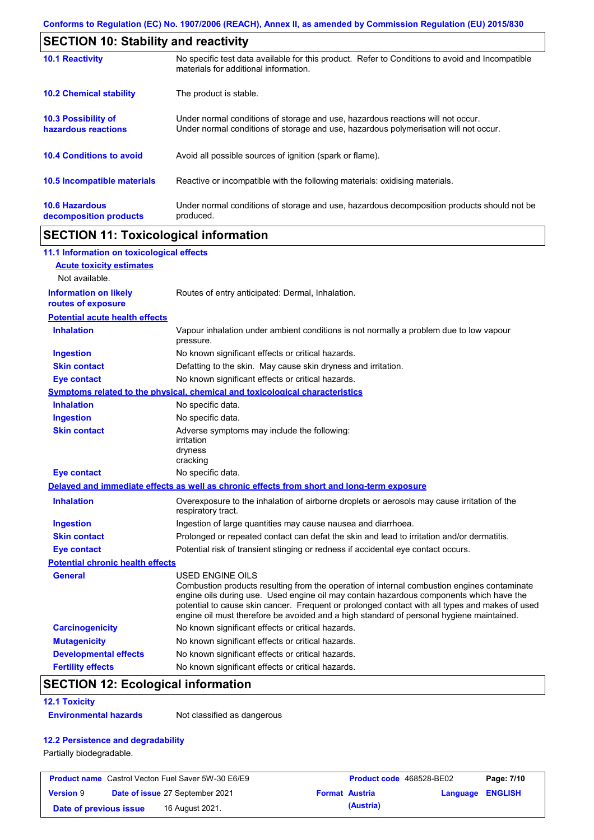| <b>SECTION 10: Stability and reactivity</b>       |                                                                                                                                                                         |  |  |  |
|---------------------------------------------------|-------------------------------------------------------------------------------------------------------------------------------------------------------------------------|--|--|--|
| <b>10.1 Reactivity</b>                            | No specific test data available for this product. Refer to Conditions to avoid and Incompatible<br>materials for additional information.                                |  |  |  |
| <b>10.2 Chemical stability</b>                    | The product is stable.                                                                                                                                                  |  |  |  |
| <b>10.3 Possibility of</b><br>hazardous reactions | Under normal conditions of storage and use, hazardous reactions will not occur.<br>Under normal conditions of storage and use, hazardous polymerisation will not occur. |  |  |  |
| <b>10.4 Conditions to avoid</b>                   | Avoid all possible sources of ignition (spark or flame).                                                                                                                |  |  |  |
| 10.5 Incompatible materials                       | Reactive or incompatible with the following materials: oxidising materials.                                                                                             |  |  |  |
| <b>10.6 Hazardous</b><br>decomposition products   | Under normal conditions of storage and use, hazardous decomposition products should not be<br>produced.                                                                 |  |  |  |

# **SECTION 11: Toxicological information**

| 11.1 Information on toxicological effects          |                                                                                                                                                                                                                                                                                                                                                                                                                 |
|----------------------------------------------------|-----------------------------------------------------------------------------------------------------------------------------------------------------------------------------------------------------------------------------------------------------------------------------------------------------------------------------------------------------------------------------------------------------------------|
| <b>Acute toxicity estimates</b>                    |                                                                                                                                                                                                                                                                                                                                                                                                                 |
| Not available.                                     |                                                                                                                                                                                                                                                                                                                                                                                                                 |
| <b>Information on likely</b><br>routes of exposure | Routes of entry anticipated: Dermal, Inhalation.                                                                                                                                                                                                                                                                                                                                                                |
| <b>Potential acute health effects</b>              |                                                                                                                                                                                                                                                                                                                                                                                                                 |
| <b>Inhalation</b>                                  | Vapour inhalation under ambient conditions is not normally a problem due to low vapour<br>pressure.                                                                                                                                                                                                                                                                                                             |
| <b>Ingestion</b>                                   | No known significant effects or critical hazards.                                                                                                                                                                                                                                                                                                                                                               |
| <b>Skin contact</b>                                | Defatting to the skin. May cause skin dryness and irritation.                                                                                                                                                                                                                                                                                                                                                   |
| <b>Eye contact</b>                                 | No known significant effects or critical hazards.                                                                                                                                                                                                                                                                                                                                                               |
|                                                    | <b>Symptoms related to the physical, chemical and toxicological characteristics</b>                                                                                                                                                                                                                                                                                                                             |
| <b>Inhalation</b>                                  | No specific data.                                                                                                                                                                                                                                                                                                                                                                                               |
| <b>Ingestion</b>                                   | No specific data.                                                                                                                                                                                                                                                                                                                                                                                               |
| <b>Skin contact</b>                                | Adverse symptoms may include the following:<br>irritation<br>dryness<br>cracking                                                                                                                                                                                                                                                                                                                                |
| <b>Eye contact</b>                                 | No specific data.                                                                                                                                                                                                                                                                                                                                                                                               |
|                                                    | Delayed and immediate effects as well as chronic effects from short and long-term exposure                                                                                                                                                                                                                                                                                                                      |
| <b>Inhalation</b>                                  | Overexposure to the inhalation of airborne droplets or aerosols may cause irritation of the<br>respiratory tract.                                                                                                                                                                                                                                                                                               |
| <b>Ingestion</b>                                   | Ingestion of large quantities may cause nausea and diarrhoea.                                                                                                                                                                                                                                                                                                                                                   |
| <b>Skin contact</b>                                | Prolonged or repeated contact can defat the skin and lead to irritation and/or dermatitis.                                                                                                                                                                                                                                                                                                                      |
| <b>Eye contact</b>                                 | Potential risk of transient stinging or redness if accidental eye contact occurs.                                                                                                                                                                                                                                                                                                                               |
| <b>Potential chronic health effects</b>            |                                                                                                                                                                                                                                                                                                                                                                                                                 |
| General                                            | <b>USED ENGINE OILS</b><br>Combustion products resulting from the operation of internal combustion engines contaminate<br>engine oils during use. Used engine oil may contain hazardous components which have the<br>potential to cause skin cancer. Frequent or prolonged contact with all types and makes of used<br>engine oil must therefore be avoided and a high standard of personal hygiene maintained. |
| <b>Carcinogenicity</b>                             | No known significant effects or critical hazards.                                                                                                                                                                                                                                                                                                                                                               |
| <b>Mutagenicity</b>                                | No known significant effects or critical hazards.                                                                                                                                                                                                                                                                                                                                                               |
| <b>Developmental effects</b>                       | No known significant effects or critical hazards.                                                                                                                                                                                                                                                                                                                                                               |
| <b>Fertility effects</b>                           | No known significant effects or critical hazards.                                                                                                                                                                                                                                                                                                                                                               |

# **SECTION 12: Ecological information**

#### **12.1 Toxicity**

**Environmental hazards** Not classified as dangerous

### **12.2 Persistence and degradability**

Partially biodegradable.

| <b>Product name</b> Castrol Vecton Fuel Saver 5W-30 E6/E9 |  |                                 | <b>Product code</b> 468528-BE02 |                       | Page: 7/10              |  |
|-----------------------------------------------------------|--|---------------------------------|---------------------------------|-----------------------|-------------------------|--|
| <b>Version 9</b>                                          |  | Date of issue 27 September 2021 |                                 | <b>Format Austria</b> | <b>Language ENGLISH</b> |  |
| Date of previous issue                                    |  | 16 August 2021.                 |                                 | (Austria)             |                         |  |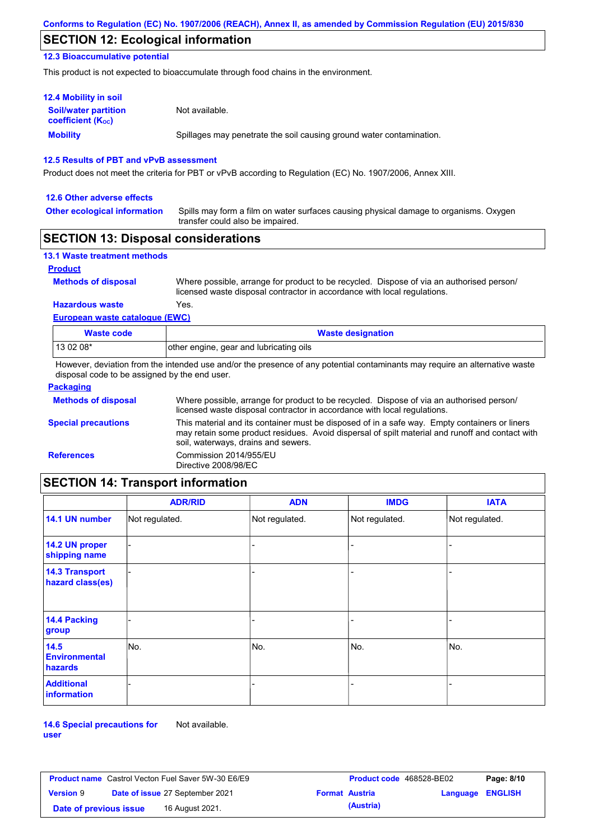# **SECTION 12: Ecological information**

### **12.3 Bioaccumulative potential**

This product is not expected to bioaccumulate through food chains in the environment.

| <b>12.4 Mobility in soil</b>                                  |                                                                      |
|---------------------------------------------------------------|----------------------------------------------------------------------|
| <b>Soil/water partition</b><br>coefficient (K <sub>oc</sub> ) | Not available.                                                       |
| <b>Mobility</b>                                               | Spillages may penetrate the soil causing ground water contamination. |

### **12.5 Results of PBT and vPvB assessment**

Product does not meet the criteria for PBT or vPvB according to Regulation (EC) No. 1907/2006, Annex XIII.

#### **12.6 Other adverse effects**

**Other ecological information**

Spills may form a film on water surfaces causing physical damage to organisms. Oxygen transfer could also be impaired.

### **SECTION 13: Disposal considerations**

| <b>13.1 Waste treatment methods</b> |                                                                                                                                                                      |
|-------------------------------------|----------------------------------------------------------------------------------------------------------------------------------------------------------------------|
| <b>Product</b>                      |                                                                                                                                                                      |
| <b>Methods of disposal</b>          | Where possible, arrange for product to be recycled. Dispose of via an authorised person/<br>licensed waste disposal contractor in accordance with local regulations. |
| <b>Hazardous waste</b>              | Yes.                                                                                                                                                                 |
| European waste catalogue (EWC)      |                                                                                                                                                                      |

| Waste code | <b>Waste designation</b>                |
|------------|-----------------------------------------|
| $1130208*$ | other engine, gear and lubricating oils |

However, deviation from the intended use and/or the presence of any potential contaminants may require an alternative waste disposal code to be assigned by the end user.

| <b>Packaging</b>           |                                                                                                                                                                                                                                         |
|----------------------------|-----------------------------------------------------------------------------------------------------------------------------------------------------------------------------------------------------------------------------------------|
| <b>Methods of disposal</b> | Where possible, arrange for product to be recycled. Dispose of via an authorised person/<br>licensed waste disposal contractor in accordance with local regulations.                                                                    |
| <b>Special precautions</b> | This material and its container must be disposed of in a safe way. Empty containers or liners<br>may retain some product residues. Avoid dispersal of spilt material and runoff and contact with<br>soil, waterways, drains and sewers. |
| <b>References</b>          | Commission 2014/955/EU<br>Directive 2008/98/EC                                                                                                                                                                                          |

# **SECTION 14: Transport information**

|                                           | <b>ADR/RID</b> | <b>ADN</b>     | <b>IMDG</b>    | <b>IATA</b>    |
|-------------------------------------------|----------------|----------------|----------------|----------------|
| 14.1 UN number                            | Not regulated. | Not regulated. | Not regulated. | Not regulated. |
| 14.2 UN proper<br>shipping name           |                |                | ۰              |                |
| <b>14.3 Transport</b><br>hazard class(es) |                |                | -              |                |
| 14.4 Packing<br>group                     |                |                | -              |                |
| 14.5<br><b>Environmental</b><br>hazards   | No.            | No.            | No.            | No.            |
| <b>Additional</b><br><b>information</b>   |                |                |                |                |

**14.6 Special precautions for user** Not available.

**Product name** Castrol Vecton Fuel Saver 5W-30 E6/E9 **Product Code 468528-BE02 Page: 8/10 Version** 9 **Date of issue** 27 September 2021 **Format Austria Language ENGLISH Date of previous issue (Austria)** 16 August 2021.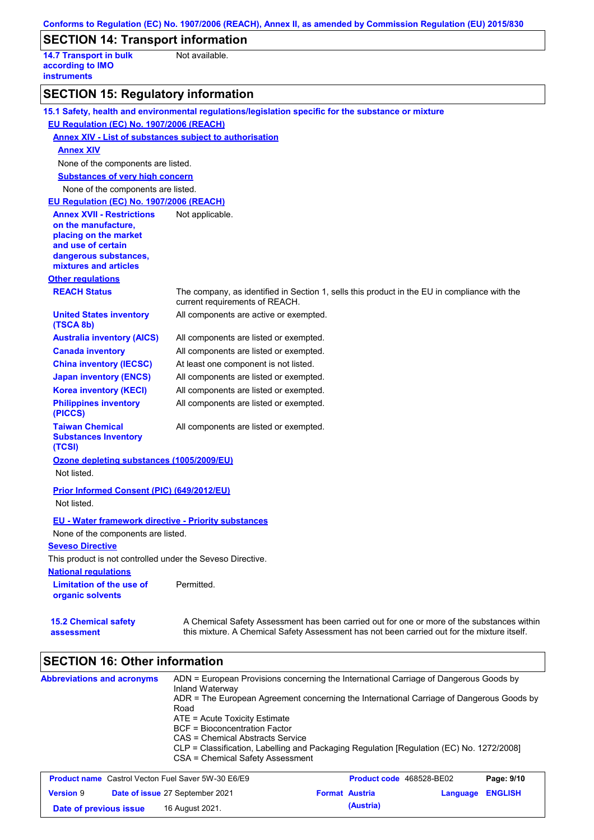|                                                                                                                                                          | Conforms to Regulation (EC) No. 1907/2006 (REACH), Annex II, as amended by Commission Regulation (EU) 2015/830                                                                            |
|----------------------------------------------------------------------------------------------------------------------------------------------------------|-------------------------------------------------------------------------------------------------------------------------------------------------------------------------------------------|
| <b>SECTION 14: Transport information</b>                                                                                                                 |                                                                                                                                                                                           |
| <b>14.7 Transport in bulk</b><br>according to IMO<br><b>instruments</b>                                                                                  | Not available.                                                                                                                                                                            |
| <b>SECTION 15: Regulatory information</b>                                                                                                                |                                                                                                                                                                                           |
|                                                                                                                                                          | 15.1 Safety, health and environmental regulations/legislation specific for the substance or mixture                                                                                       |
| EU Regulation (EC) No. 1907/2006 (REACH)                                                                                                                 |                                                                                                                                                                                           |
| <b>Annex XIV - List of substances subject to authorisation</b>                                                                                           |                                                                                                                                                                                           |
| <b>Annex XIV</b>                                                                                                                                         |                                                                                                                                                                                           |
| None of the components are listed.                                                                                                                       |                                                                                                                                                                                           |
| <b>Substances of very high concern</b>                                                                                                                   |                                                                                                                                                                                           |
| None of the components are listed.                                                                                                                       |                                                                                                                                                                                           |
| EU Regulation (EC) No. 1907/2006 (REACH)                                                                                                                 |                                                                                                                                                                                           |
| <b>Annex XVII - Restrictions</b><br>on the manufacture,<br>placing on the market<br>and use of certain<br>dangerous substances,<br>mixtures and articles | Not applicable.                                                                                                                                                                           |
| <b>Other regulations</b>                                                                                                                                 |                                                                                                                                                                                           |
| <b>REACH Status</b>                                                                                                                                      | The company, as identified in Section 1, sells this product in the EU in compliance with the<br>current requirements of REACH.                                                            |
| <b>United States inventory</b><br>(TSCA 8b)                                                                                                              | All components are active or exempted.                                                                                                                                                    |
| <b>Australia inventory (AICS)</b>                                                                                                                        | All components are listed or exempted.                                                                                                                                                    |
| <b>Canada inventory</b>                                                                                                                                  | All components are listed or exempted.                                                                                                                                                    |
| <b>China inventory (IECSC)</b>                                                                                                                           | At least one component is not listed.                                                                                                                                                     |
| <b>Japan inventory (ENCS)</b>                                                                                                                            | All components are listed or exempted.                                                                                                                                                    |
| <b>Korea inventory (KECI)</b>                                                                                                                            | All components are listed or exempted.                                                                                                                                                    |
| <b>Philippines inventory</b><br>(PICCS)                                                                                                                  | All components are listed or exempted.                                                                                                                                                    |
| <b>Taiwan Chemical</b><br><b>Substances Inventory</b><br>(TCSI)                                                                                          | All components are listed or exempted.                                                                                                                                                    |
| Ozone depleting substances (1005/2009/EU)<br>Not listed.                                                                                                 |                                                                                                                                                                                           |
| Prior Informed Consent (PIC) (649/2012/EU)<br>Not listed.                                                                                                |                                                                                                                                                                                           |
| <b>EU - Water framework directive - Priority substances</b>                                                                                              |                                                                                                                                                                                           |
| None of the components are listed.                                                                                                                       |                                                                                                                                                                                           |
| <b>Seveso Directive</b>                                                                                                                                  |                                                                                                                                                                                           |
| This product is not controlled under the Seveso Directive.                                                                                               |                                                                                                                                                                                           |
| <b>National regulations</b>                                                                                                                              |                                                                                                                                                                                           |
| Limitation of the use of<br>organic solvents                                                                                                             | Permitted.                                                                                                                                                                                |
| <b>15.2 Chemical safety</b><br>assessment                                                                                                                | A Chemical Safety Assessment has been carried out for one or more of the substances within<br>this mixture. A Chemical Safety Assessment has not been carried out for the mixture itself. |

# **SECTION 16: Other information**

| <b>Abbreviations and acronyms</b>                                                                                                                                                                                                                                                                                                                                                                                                                                                          | ADN = European Provisions concerning the International Carriage of Dangerous Goods by                                                                                                                                                                                                                                                                                                                                                                                                               |
|--------------------------------------------------------------------------------------------------------------------------------------------------------------------------------------------------------------------------------------------------------------------------------------------------------------------------------------------------------------------------------------------------------------------------------------------------------------------------------------------|-----------------------------------------------------------------------------------------------------------------------------------------------------------------------------------------------------------------------------------------------------------------------------------------------------------------------------------------------------------------------------------------------------------------------------------------------------------------------------------------------------|
|                                                                                                                                                                                                                                                                                                                                                                                                                                                                                            | Inland Waterway                                                                                                                                                                                                                                                                                                                                                                                                                                                                                     |
|                                                                                                                                                                                                                                                                                                                                                                                                                                                                                            | ADR = The European Agreement concerning the International Carriage of Dangerous Goods by                                                                                                                                                                                                                                                                                                                                                                                                            |
|                                                                                                                                                                                                                                                                                                                                                                                                                                                                                            | Road                                                                                                                                                                                                                                                                                                                                                                                                                                                                                                |
|                                                                                                                                                                                                                                                                                                                                                                                                                                                                                            | $ATE = Acute Toxicity Estimate$                                                                                                                                                                                                                                                                                                                                                                                                                                                                     |
|                                                                                                                                                                                                                                                                                                                                                                                                                                                                                            | BCF = Bioconcentration Factor                                                                                                                                                                                                                                                                                                                                                                                                                                                                       |
|                                                                                                                                                                                                                                                                                                                                                                                                                                                                                            | CAS = Chemical Abstracts Service                                                                                                                                                                                                                                                                                                                                                                                                                                                                    |
|                                                                                                                                                                                                                                                                                                                                                                                                                                                                                            | CLP = Classification, Labelling and Packaging Regulation [Regulation (EC) No. 1272/2008]                                                                                                                                                                                                                                                                                                                                                                                                            |
|                                                                                                                                                                                                                                                                                                                                                                                                                                                                                            | CSA = Chemical Safety Assessment                                                                                                                                                                                                                                                                                                                                                                                                                                                                    |
|                                                                                                                                                                                                                                                                                                                                                                                                                                                                                            |                                                                                                                                                                                                                                                                                                                                                                                                                                                                                                     |
| $\blacksquare$ $\blacksquare$ $\blacksquare$ $\blacksquare$ $\blacksquare$ $\blacksquare$ $\blacksquare$ $\blacksquare$ $\blacksquare$ $\blacksquare$ $\blacksquare$ $\blacksquare$ $\blacksquare$ $\blacksquare$ $\blacksquare$ $\blacksquare$ $\blacksquare$ $\blacksquare$ $\blacksquare$ $\blacksquare$ $\blacksquare$ $\blacksquare$ $\blacksquare$ $\blacksquare$ $\blacksquare$ $\blacksquare$ $\blacksquare$ $\blacksquare$ $\blacksquare$ $\blacksquare$ $\blacksquare$ $\blacks$ | - - -<br>$\blacksquare$ $\blacksquare$ $\blacksquare$ $\blacksquare$ $\blacksquare$ $\blacksquare$ $\blacksquare$ $\blacksquare$ $\blacksquare$ $\blacksquare$ $\blacksquare$ $\blacksquare$ $\blacksquare$ $\blacksquare$ $\blacksquare$ $\blacksquare$ $\blacksquare$ $\blacksquare$ $\blacksquare$ $\blacksquare$ $\blacksquare$ $\blacksquare$ $\blacksquare$ $\blacksquare$ $\blacksquare$ $\blacksquare$ $\blacksquare$ $\blacksquare$ $\blacksquare$ $\blacksquare$ $\blacksquare$ $\blacks$ |

| <b>Product name</b> Castrol Vecton Fuel Saver 5W-30 E6/E9 |  |                 | Product code 468528-BE02 |                         | Page: 9/10 |  |
|-----------------------------------------------------------|--|-----------------|--------------------------|-------------------------|------------|--|
| Date of issue 27 September 2021<br><b>Version 9</b>       |  |                 | <b>Format Austria</b>    | <b>Language ENGLISH</b> |            |  |
| Date of previous issue                                    |  | 16 August 2021. |                          | (Austria)               |            |  |